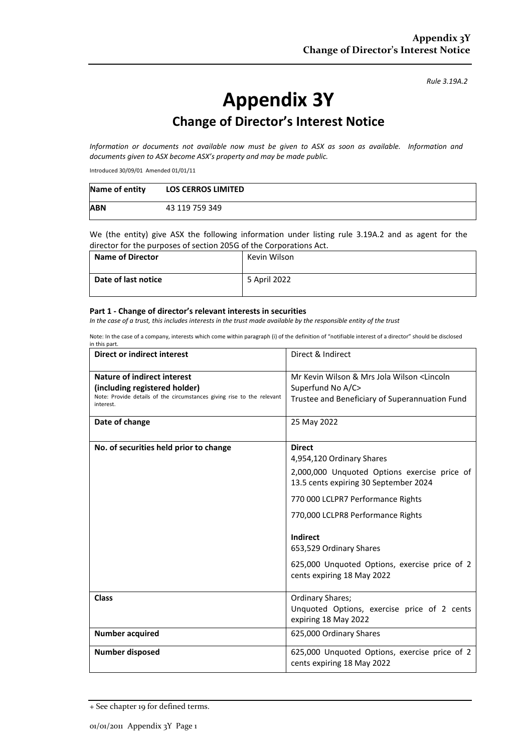*Rule 3.19A.2*

# **Appendix 3Y**

## **Change of Director's Interest Notice**

*Information or documents not available now must be given to ASX as soon as available. Information and documents given to ASX become ASX's property and may be made public.*

Introduced 30/09/01 Amended 01/01/11

| Name of entity | <b>LOS CERROS LIMITED</b> |
|----------------|---------------------------|
| <b>ABN</b>     | 43 119 759 349            |

We (the entity) give ASX the following information under listing rule 3.19A.2 and as agent for the director for the purposes of section 205G of the Corporations Act.

| <b>Name of Director</b> | Kevin Wilson |
|-------------------------|--------------|
| Date of last notice     | 5 April 2022 |

#### **Part 1 - Change of director's relevant interests in securities**

*In the case of a trust, this includes interests in the trust made available by the responsible entity of the trust*

Note: In the case of a company, interests which come within paragraph (i) of the definition of "notifiable interest of a director" should be disclosed in this part.

| <b>Direct or indirect interest</b>                                                  | Direct & Indirect                                                                     |  |
|-------------------------------------------------------------------------------------|---------------------------------------------------------------------------------------|--|
| Nature of indirect interest                                                         | Mr Kevin Wilson & Mrs Jola Wilson <lincoln< th=""></lincoln<>                         |  |
| (including registered holder)                                                       | Superfund No A/C>                                                                     |  |
| Note: Provide details of the circumstances giving rise to the relevant<br>interest. | Trustee and Beneficiary of Superannuation Fund                                        |  |
| Date of change                                                                      | 25 May 2022                                                                           |  |
| No. of securities held prior to change                                              | <b>Direct</b>                                                                         |  |
|                                                                                     | 4,954,120 Ordinary Shares                                                             |  |
|                                                                                     | 2,000,000 Unquoted Options exercise price of<br>13.5 cents expiring 30 September 2024 |  |
|                                                                                     | 770 000 LCLPR7 Performance Rights                                                     |  |
|                                                                                     | 770,000 LCLPR8 Performance Rights                                                     |  |
|                                                                                     | <b>Indirect</b>                                                                       |  |
|                                                                                     | 653,529 Ordinary Shares                                                               |  |
|                                                                                     | 625,000 Unquoted Options, exercise price of 2<br>cents expiring 18 May 2022           |  |
| <b>Class</b>                                                                        | Ordinary Shares;                                                                      |  |
|                                                                                     | Unquoted Options, exercise price of 2 cents<br>expiring 18 May 2022                   |  |
| <b>Number acquired</b>                                                              | 625,000 Ordinary Shares                                                               |  |
| Number disposed                                                                     | 625,000 Unquoted Options, exercise price of 2<br>cents expiring 18 May 2022           |  |

<sup>+</sup> See chapter 19 for defined terms.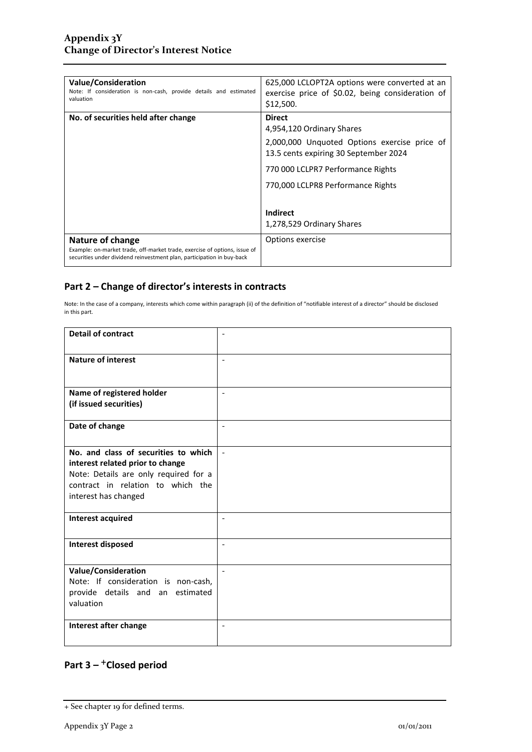| <b>Value/Consideration</b><br>Note: If consideration is non-cash, provide details and estimated<br>valuation                                                            | 625,000 LCLOPT2A options were converted at an<br>exercise price of \$0.02, being consideration of<br>\$12,500.                                                           |
|-------------------------------------------------------------------------------------------------------------------------------------------------------------------------|--------------------------------------------------------------------------------------------------------------------------------------------------------------------------|
| No. of securities held after change                                                                                                                                     | <b>Direct</b><br>4,954,120 Ordinary Shares<br>2,000,000 Unquoted Options exercise price of<br>13.5 cents expiring 30 September 2024<br>770 000 LCLPR7 Performance Rights |
|                                                                                                                                                                         | 770,000 LCLPR8 Performance Rights<br>Indirect<br>1,278,529 Ordinary Shares                                                                                               |
| Nature of change<br>Example: on-market trade, off-market trade, exercise of options, issue of<br>securities under dividend reinvestment plan, participation in buy-back | Options exercise                                                                                                                                                         |

### **Part 2 – Change of director's interests in contracts**

Note: In the case of a company, interests which come within paragraph (ii) of the definition of "notifiable interest of a director" should be disclosed in this part.

| <b>Detail of contract</b>                                         | $\overline{\phantom{a}}$     |
|-------------------------------------------------------------------|------------------------------|
| <b>Nature of interest</b>                                         | $\overline{\phantom{a}}$     |
| Name of registered holder                                         | $\blacksquare$               |
| (if issued securities)                                            |                              |
| Date of change                                                    | $\overline{\phantom{a}}$     |
| No. and class of securities to which                              |                              |
| interest related prior to change                                  |                              |
| Note: Details are only required for a                             |                              |
| contract in relation to which the                                 |                              |
| interest has changed                                              |                              |
| <b>Interest acquired</b>                                          | $\sim$                       |
| <b>Interest disposed</b>                                          | $\qquad \qquad \blacksquare$ |
|                                                                   |                              |
| <b>Value/Consideration</b><br>Note: If consideration is non-cash, |                              |
| provide details and an estimated                                  |                              |
| valuation                                                         |                              |
|                                                                   |                              |
| Interest after change                                             | $\overline{\phantom{a}}$     |
|                                                                   |                              |

## **Part 3 –** +**Closed period**

<sup>+</sup> See chapter 19 for defined terms.